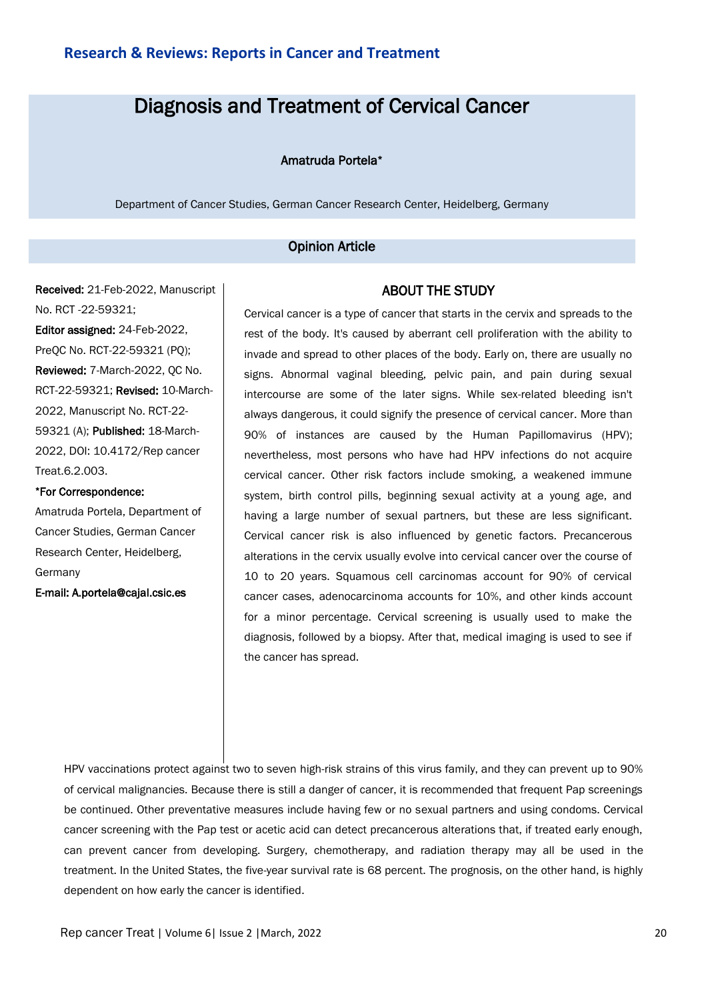# Diagnosis and Treatment of Cervical Cancer

#### Amatruda Portela\*

Department of Cancer Studies, German Cancer Research Center, Heidelberg, Germany

#### Opinion Article

Received: 21-Feb-2022, Manuscript No. RCT -22-59321;

Editor assigned: 24-Feb-2022, PreQC No. RCT-22-59321 (PQ); Reviewed: 7-March-2022, QC No. RCT-22-59321; Revised: 10-March-2022, Manuscript No. RCT-22- 59321 (A); Published: 18-March-2022, DOI: 10.4172/Rep cancer Treat.6.2.003.

\*For Correspondence: Amatruda Portela, Department of Cancer Studies, German Cancer Research Center, Heidelberg, Germany

E-mail: A.portela@cajal.csic.es

### ABOUT THE STUDY

Cervical cancer is a type of cancer that starts in the cervix and spreads to the rest of the body. It's caused by aberrant cell proliferation with the ability to invade and spread to other places of the body. Early on, there are usually no signs. Abnormal vaginal bleeding, pelvic pain, and pain during sexual intercourse are some of the later signs. While sex-related bleeding isn't always dangerous, it could signify the presence of cervical cancer. More than 90% of instances are caused by the Human Papillomavirus (HPV); nevertheless, most persons who have had HPV infections do not acquire cervical cancer. Other risk factors include smoking, a weakened immune system, birth control pills, beginning sexual activity at a young age, and having a large number of sexual partners, but these are less significant. Cervical cancer risk is also influenced by genetic factors. Precancerous alterations in the cervix usually evolve into cervical cancer over the course of 10 to 20 years. Squamous cell carcinomas account for 90% of cervical cancer cases, adenocarcinoma accounts for 10%, and other kinds account for a minor percentage. Cervical screening is usually used to make the diagnosis, followed by a biopsy. After that, medical imaging is used to see if the cancer has spread.

HPV vaccinations protect against two to seven high-risk strains of this virus family, and they can prevent up to 90% of cervical malignancies. Because there is still a danger of cancer, it is recommended that frequent Pap screenings be continued. Other preventative measures include having few or no sexual partners and using condoms. Cervical cancer screening with the Pap test or acetic acid can detect precancerous alterations that, if treated early enough, can prevent cancer from developing. Surgery, chemotherapy, and radiation therapy may all be used in the treatment. In the United States, the five-year survival rate is 68 percent. The prognosis, on the other hand, is highly dependent on how early the cancer is identified.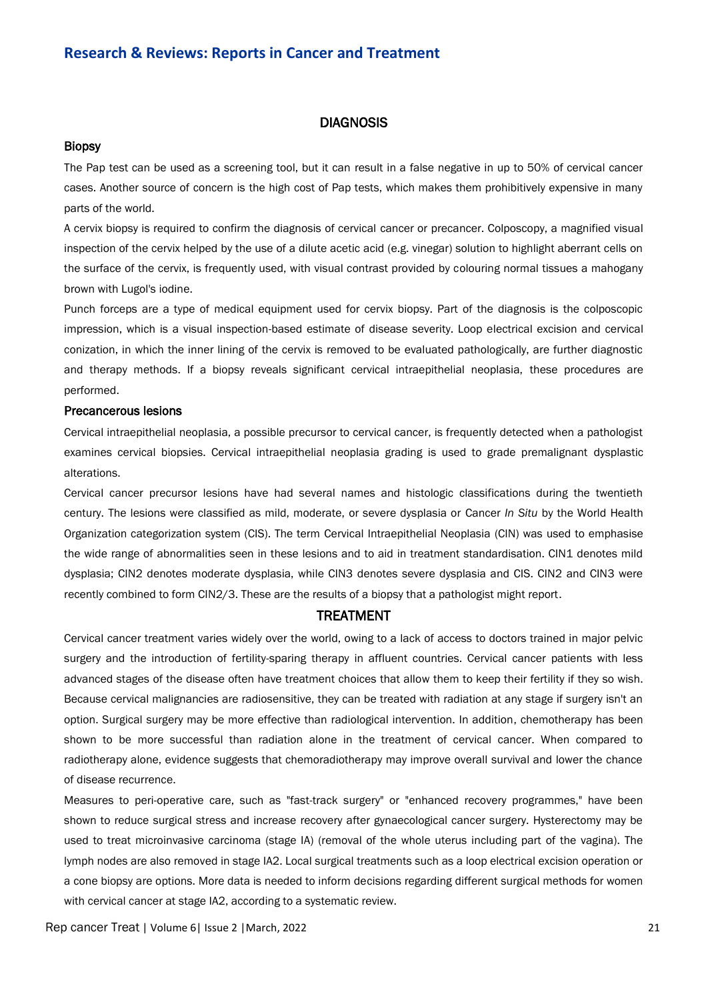#### **DIAGNOSIS**

#### Biopsy

The Pap test can be used as a screening tool, but it can result in a false negative in up to 50% of cervical cancer cases. Another source of concern is the high cost of Pap tests, which makes them prohibitively expensive in many parts of the world.

A cervix biopsy is required to confirm the diagnosis of cervical cancer or precancer. Colposcopy, a magnified visual inspection of the cervix helped by the use of a dilute acetic acid (e.g. vinegar) solution to highlight aberrant cells on the surface of the cervix, is frequently used, with visual contrast provided by colouring normal tissues a mahogany brown with Lugol's iodine.

Punch forceps are a type of medical equipment used for cervix biopsy. Part of the diagnosis is the colposcopic impression, which is a visual inspection-based estimate of disease severity. Loop electrical excision and cervical conization, in which the inner lining of the cervix is removed to be evaluated pathologically, are further diagnostic and therapy methods. If a biopsy reveals significant cervical intraepithelial neoplasia, these procedures are performed.

#### Precancerous lesions

Cervical intraepithelial neoplasia, a possible precursor to cervical cancer, is frequently detected when a pathologist examines cervical biopsies. Cervical intraepithelial neoplasia grading is used to grade premalignant dysplastic alterations.

Cervical cancer precursor lesions have had several names and histologic classifications during the twentieth century. The lesions were classified as mild, moderate, or severe dysplasia or Cancer *In Situ* by the World Health Organization categorization system (CIS). The term Cervical Intraepithelial Neoplasia (CIN) was used to emphasise the wide range of abnormalities seen in these lesions and to aid in treatment standardisation. CIN1 denotes mild dysplasia; CIN2 denotes moderate dysplasia, while CIN3 denotes severe dysplasia and CIS. CIN2 and CIN3 were recently combined to form CIN2/3. These are the results of a biopsy that a pathologist might report.

#### TREATMENT

Cervical cancer treatment varies widely over the world, owing to a lack of access to doctors trained in major pelvic surgery and the introduction of fertility-sparing therapy in affluent countries. Cervical cancer patients with less advanced stages of the disease often have treatment choices that allow them to keep their fertility if they so wish. Because cervical malignancies are radiosensitive, they can be treated with radiation at any stage if surgery isn't an option. Surgical surgery may be more effective than radiological intervention. In addition, chemotherapy has been shown to be more successful than radiation alone in the treatment of cervical cancer. When compared to radiotherapy alone, evidence suggests that chemoradiotherapy may improve overall survival and lower the chance of disease recurrence.

Measures to peri-operative care, such as "fast-track surgery" or "enhanced recovery programmes," have been shown to reduce surgical stress and increase recovery after gynaecological cancer surgery. Hysterectomy may be used to treat microinvasive carcinoma (stage IA) (removal of the whole uterus including part of the vagina). The lymph nodes are also removed in stage IA2. Local surgical treatments such as a loop electrical excision operation or a cone biopsy are options. More data is needed to inform decisions regarding different surgical methods for women with cervical cancer at stage IA2, according to a systematic review.

Rep cancer Treat | Volume 6| Issue 2 |March, 2022 21